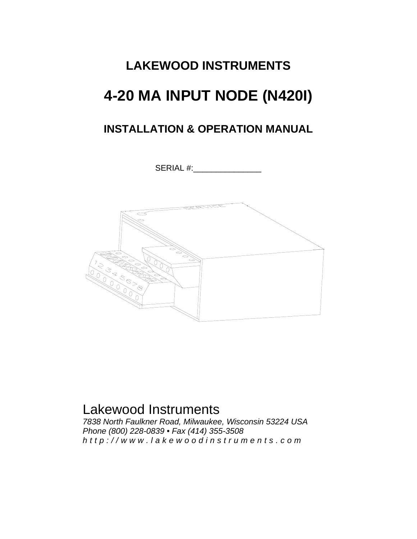# **LAKEWOOD INSTRUMENTS 4-20 MA INPUT NODE (N420I)**

## **INSTALLATION & OPERATION MANUAL**

SERIAL #:



## Lakewood Instruments

*7838 North Faulkner Road, Milwaukee, Wisconsin 53224 USA Phone (800) 228-0839 • Fax (414) 355-3508 http://www.lakewoodinstrum ents.com*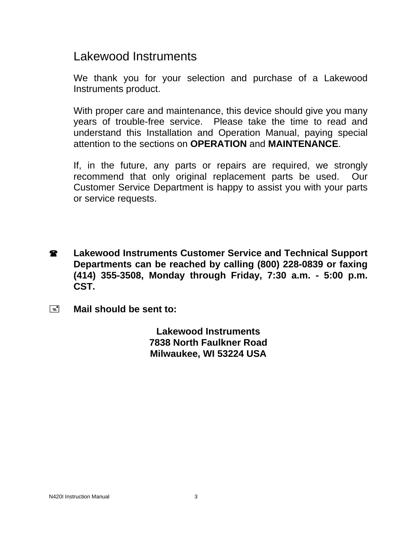## Lakewood Instruments

We thank you for your selection and purchase of a Lakewood Instruments product.

With proper care and maintenance, this device should give you many years of trouble-free service. Please take the time to read and understand this Installation and Operation Manual, paying special attention to the sections on **OPERATION** and **MAINTENANCE**.

If, in the future, any parts or repairs are required, we strongly recommend that only original replacement parts be used. Our Customer Service Department is happy to assist you with your parts or service requests.

- **2** Lakewood Instruments Customer Service and Technical Support **Departments can be reached by calling (800) 228-0839 or faxing (414) 355-3508, Monday through Friday, 7:30 a.m. - 5:00 p.m. CST.**
- **Mail should be sent to:**

**Lakewood Instruments 7838 North Faulkner Road Milwaukee, WI 53224 USA**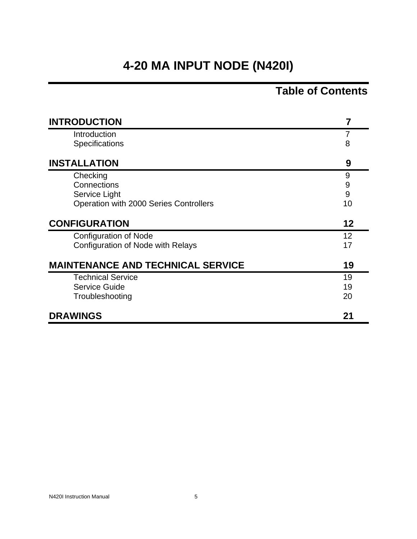## **4-20 MA INPUT NODE (N420I)**

## **Table of Contents**

| <b>INTRODUCTION</b>                      | 7  |
|------------------------------------------|----|
| Introduction                             | 7  |
| Specifications                           | 8  |
| <b>INSTALLATION</b>                      | 9  |
| Checking                                 | 9  |
| Connections                              | 9  |
| Service Light                            | 9  |
| Operation with 2000 Series Controllers   | 10 |
| <b>CONFIGURATION</b>                     | 12 |
| <b>Configuration of Node</b>             | 12 |
| Configuration of Node with Relays        | 17 |
| <b>MAINTENANCE AND TECHNICAL SERVICE</b> | 19 |
| <b>Technical Service</b>                 | 19 |
| Service Guide                            | 19 |
| Troubleshooting                          | 20 |
| <b>DRAWINGS</b>                          | 21 |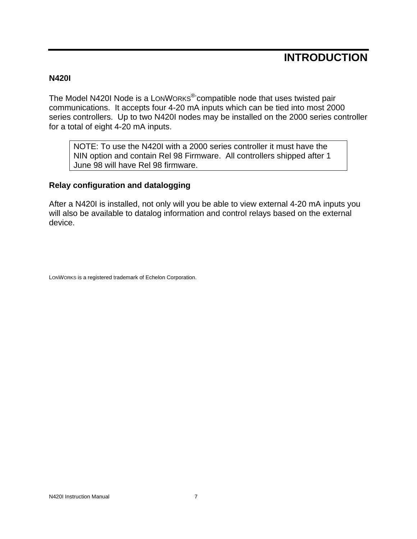## **INTRODUCTION**

#### **N420I**

The Model N420I Node is a LONWORKS<sup>®-</sup>compatible node that uses twisted pair communications. It accepts four 4-20 mA inputs which can be tied into most 2000 series controllers. Up to two N420I nodes may be installed on the 2000 series controller for a total of eight 4-20 mA inputs.

NOTE: To use the N420I with a 2000 series controller it must have the NIN option and contain Rel 98 Firmware. All controllers shipped after 1 June 98 will have Rel 98 firmware.

#### **Relay configuration and datalogging**

After a N420I is installed, not only will you be able to view external 4-20 mA inputs you will also be available to datalog information and control relays based on the external device.

LONWORKS is a registered trademark of Echelon Corporation.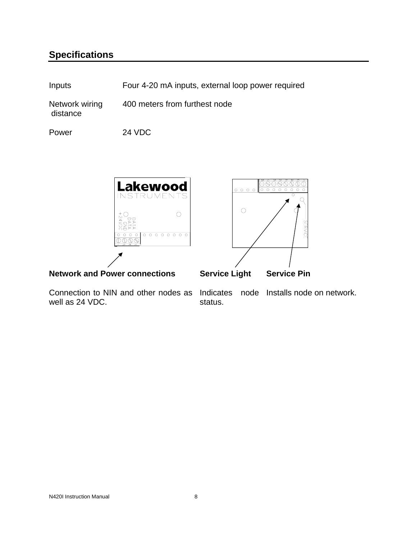### **Specifications**

| Inputs                     | Four 4-20 mA inputs, external loop power required |
|----------------------------|---------------------------------------------------|
| Network wiring<br>distance | 400 meters from furthest node                     |
| Power                      | <b>24 VDC</b>                                     |



well as 24 VDC.

Connection to NIN and other nodes as Indicates node Installs node on network. status.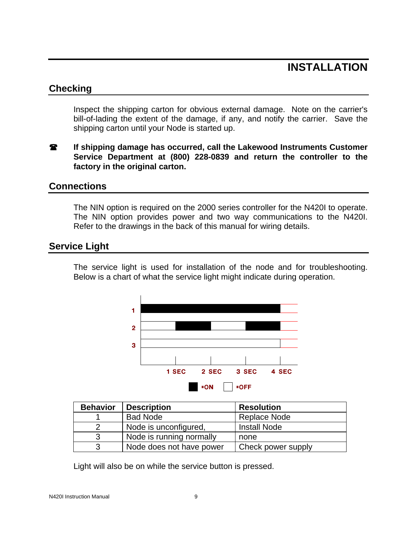## **INSTALLATION**

#### **Checking**

Inspect the shipping carton for obvious external damage. Note on the carrier's bill-of-lading the extent of the damage, if any, and notify the carrier. Save the shipping carton until your Node is started up.

**If shipping damage has occurred, call the Lakewood Instruments Customer Service Department at (800) 228-0839 and return the controller to the factory in the original carton.** 

#### **Connections**

The NIN option is required on the 2000 series controller for the N420I to operate. The NIN option provides power and two way communications to the N420I. Refer to the drawings in the back of this manual for wiring details.

#### **Service Light**

The service light is used for installation of the node and for troubleshooting. Below is a chart of what the service light might indicate during operation.



| <b>Behavior</b> | <b>Description</b>       | <b>Resolution</b>   |
|-----------------|--------------------------|---------------------|
|                 | <b>Bad Node</b>          | Replace Node        |
|                 | Node is unconfigured,    | <b>Install Node</b> |
| 3               | Node is running normally | none                |
| 3               | Node does not have power | Check power supply  |

Light will also be on while the service button is pressed.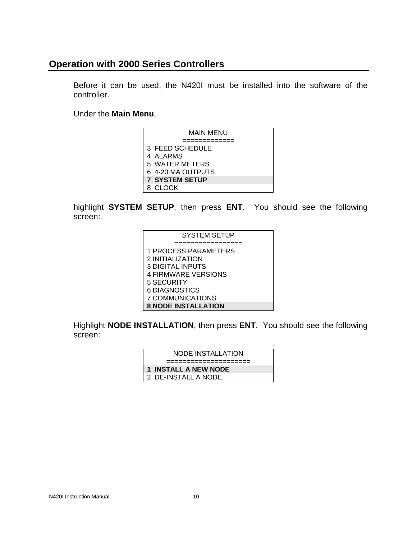#### **Operation with 2000 Series Controllers**

Before it can be used, the N420I must be installed into the software of the controller.

Under the **Main Menu**,

| MAIN MENU             |
|-----------------------|
|                       |
| 3 FEED SCHEDULE       |
| 4 ALARMS              |
| 5 WATER METERS        |
| 6 4-20 MA OUTPUTS     |
| <b>7 SYSTEM SETUP</b> |
| 8 CLOCK               |

highlight **SYSTEM SETUP**, then press **ENT**. You should see the following screen:

| <b>SYSTEM SETUP</b>        |
|----------------------------|
|                            |
| 1 PROCESS PARAMETERS       |
| 2 INITIALIZATION           |
| <b>3 DIGITAL INPUTS</b>    |
| <b>4 FIRMWARE VERSIONS</b> |
| 5 SECURITY                 |
| 6 DIAGNOSTICS              |
| 7 COMMUNICATIONS           |
| <b>8 NODE INSTALLATION</b> |

Highlight **NODE INSTALLATION**, then press **ENT**. You should see the following screen:

| NODE INSTALLATION    |
|----------------------|
|                      |
| 1 INSTALL A NEW NODE |
| 2 DE-INSTALL A NODE  |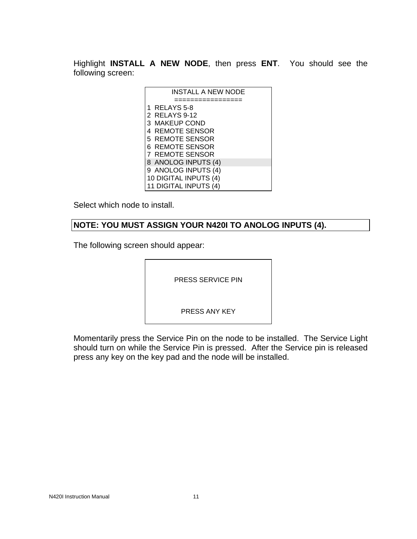Highlight **INSTALL A NEW NODE**, then press **ENT**. You should see the following screen:

| <b>INSTALL A NEW NODE</b> |
|---------------------------|
|                           |
| 1 RELAYS 5-8              |
| 2 RELAYS 9-12             |
| 3 MAKEUP COND             |
| 4 REMOTE SENSOR           |
| 5 REMOTE SENSOR           |
| 6 REMOTE SENSOR           |
| <b>7 REMOTE SENSOR</b>    |
| 8 ANOLOG INPUTS (4)       |
| 9 ANOLOG INPUTS (4)       |
| 10 DIGITAL INPUTS (4)     |
| 11 DIGITAL INPUTS (4)     |
|                           |

Select which node to install.

#### **NOTE: YOU MUST ASSIGN YOUR N420I TO ANOLOG INPUTS (4).**

The following screen should appear:

PRESS SERVICE PIN

PRESS ANY KEY

Momentarily press the Service Pin on the node to be installed. The Service Light should turn on while the Service Pin is pressed. After the Service pin is released press any key on the key pad and the node will be installed.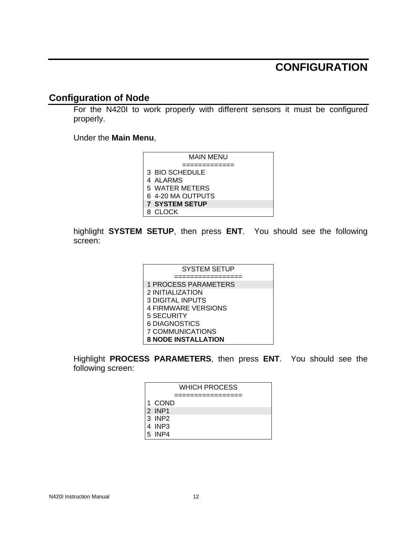## **CONFIGURATION**

#### **Configuration of Node**

For the N420I to work properly with different sensors it must be configured properly.

Under the **Main Menu**,

| MAIN MENU             |
|-----------------------|
|                       |
| 3 BIO SCHEDULE        |
| 4 ALARMS              |
| 5 WATER METERS        |
| 6 4-20 MA OUTPUTS     |
| <b>7 SYSTEM SETUP</b> |
| 8. CI OCK             |

highlight **SYSTEM SETUP**, then press **ENT**. You should see the following screen:

| <b>SYSTEM SETUP</b>         |  |
|-----------------------------|--|
|                             |  |
| <b>1 PROCESS PARAMETERS</b> |  |
| 2 INITIALIZATION            |  |
| 3 DIGITAL INPUTS            |  |
| <b>4 FIRMWARE VERSIONS</b>  |  |
| 5 SECURITY                  |  |
| 6 DIAGNOSTICS               |  |
| 7 COMMUNICATIONS            |  |
| <b>8 NODE INSTALLATION</b>  |  |

Highlight **PROCESS PARAMETERS**, then press **ENT**. You should see the following screen:

|        | <b>WHICH PROCESS</b> |
|--------|----------------------|
|        |                      |
| 1 COND |                      |
| 2 INP1 |                      |
| 3 INP2 |                      |
| 4 INP3 |                      |
| 5 INP4 |                      |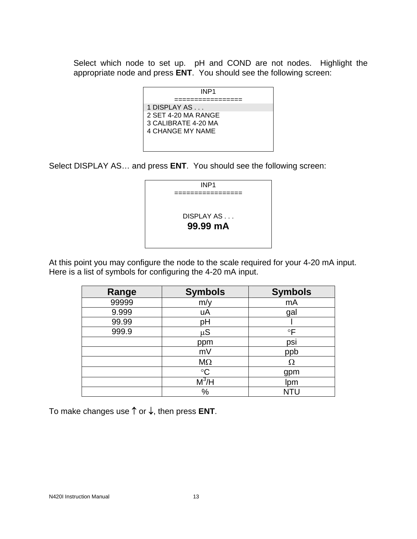Select which node to set up. pH and COND are not nodes. Highlight the appropriate node and press **ENT**. You should see the following screen:

| INP <sub>1</sub>    |
|---------------------|
|                     |
| 1 DISPLAY AS        |
| 2 SET 4-20 MA RANGE |
| 3 CALIBRATE 4-20 MA |
| 4 CHANGE MY NAME    |
|                     |
|                     |

Select DISPLAY AS… and press **ENT**. You should see the following screen:



At this point you may configure the node to the scale required for your 4-20 mA input. Here is a list of symbols for configuring the 4-20 mA input.

| Range | <b>Symbols</b>                      | <b>Symbols</b> |
|-------|-------------------------------------|----------------|
| 99999 | m/y                                 | mA             |
| 9.999 | uA                                  | gal            |
| 99.99 | рH                                  |                |
| 999.9 | $\mu S$                             | $\circ$ F      |
|       | ppm                                 | psi            |
|       | mV                                  | ppb            |
|       | $M\Omega$                           | Ω              |
|       | $\rm ^{\circ}C$                     | gpm            |
|       | $\overline{\mathsf{M}^3\mathsf{H}}$ | Ipm            |
|       | $\%$                                | NTU            |

To make changes use ↑ or ↓, then press **ENT**.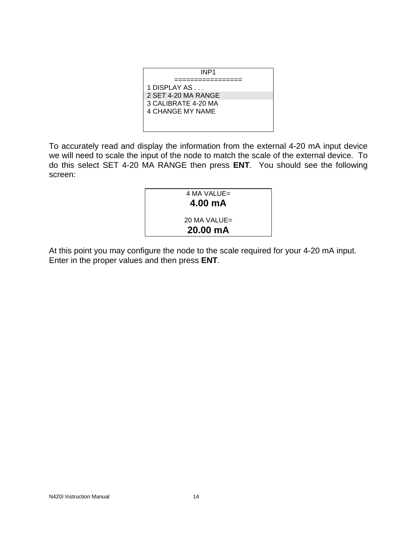| INP <sub>1</sub>        |
|-------------------------|
|                         |
| 1 DISPLAY AS            |
| 2 SET 4-20 MA RANGE     |
| 3 CALIBRATE 4-20 MA     |
| <b>4 CHANGE MY NAME</b> |
|                         |
|                         |

To accurately read and display the information from the external 4-20 mA input device we will need to scale the input of the node to match the scale of the external device. To do this select SET 4-20 MA RANGE then press **ENT**. You should see the following screen:



At this point you may configure the node to the scale required for your 4-20 mA input. Enter in the proper values and then press **ENT**.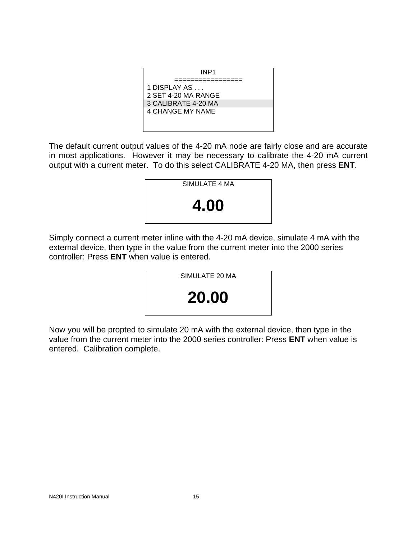| INP <sub>1</sub>        |
|-------------------------|
|                         |
| 1 DISPLAY AS            |
| 2 SET 4-20 MA RANGE     |
| 3 CALIBRATE 4-20 MA     |
| <b>4 CHANGE MY NAME</b> |
|                         |
|                         |

The default current output values of the 4-20 mA node are fairly close and are accurate in most applications. However it may be necessary to calibrate the 4-20 mA current output with a current meter. To do this select CALIBRATE 4-20 MA, then press **ENT**.



Simply connect a current meter inline with the 4-20 mA device, simulate 4 mA with the external device, then type in the value from the current meter into the 2000 series controller: Press **ENT** when value is entered.



Now you will be propted to simulate 20 mA with the external device, then type in the value from the current meter into the 2000 series controller: Press **ENT** when value is entered. Calibration complete.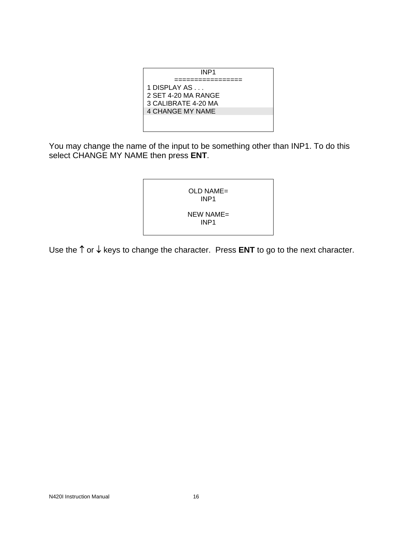

You may change the name of the input to be something other than INP1. To do this select CHANGE MY NAME then press **ENT**.

| $OLD NAME =$<br>INP1             |  |
|----------------------------------|--|
| $NEW NAME =$<br>INP <sub>1</sub> |  |

Use the ↑ or ↓ keys to change the character. Press **ENT** to go to the next character.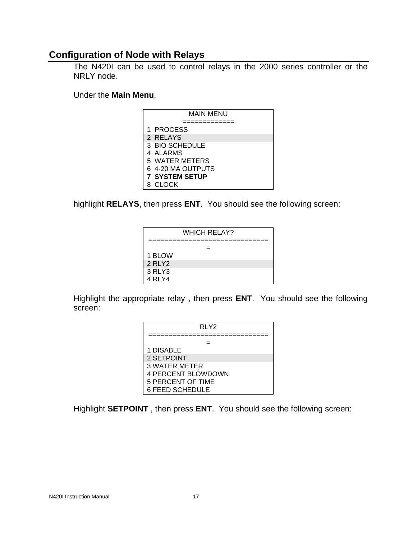#### **Configuration of Node with Relays**

The N420I can be used to control relays in the 2000 series controller or the NRLY node.

#### Under the **Main Menu**,

| MAIN MENU             |
|-----------------------|
|                       |
| 1 PROCESS             |
| 2 RELAYS              |
| 3 BIO SCHEDULE        |
| 4 ALARMS              |
| 5 WATER METERS        |
| 6 4-20 MA OUTPUTS     |
| <b>7 SYSTEM SETUP</b> |
| <b>CLOCK</b>          |

highlight **RELAYS**, then press **ENT**. You should see the following screen:

| <b>WHICH RELAY?</b> |  |  |  |  |  |  |  |
|---------------------|--|--|--|--|--|--|--|
|                     |  |  |  |  |  |  |  |
| 1 BLOW              |  |  |  |  |  |  |  |
| 2 RLY2              |  |  |  |  |  |  |  |
| 3 RLY3              |  |  |  |  |  |  |  |
| 4 RLY4              |  |  |  |  |  |  |  |

Highlight the appropriate relay , then press **ENT**. You should see the following screen:

| RLY2                      |
|---------------------------|
|                           |
|                           |
| 1 DISABLE                 |
| 2 SETPOINT                |
| 3 WATER METER             |
| <b>4 PERCENT BLOWDOWN</b> |
| 5 PERCENT OF TIME         |
| <b>6 FEED SCHEDULE</b>    |

Highlight **SETPOINT** , then press **ENT**. You should see the following screen: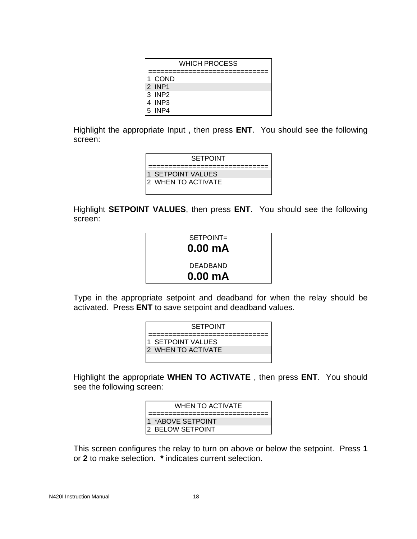| WHICH PROCESS |        |  |  |  |  |  |  |
|---------------|--------|--|--|--|--|--|--|
|               |        |  |  |  |  |  |  |
|               | 1 COND |  |  |  |  |  |  |
|               | 2 INP1 |  |  |  |  |  |  |
|               | 3 INP2 |  |  |  |  |  |  |
|               | 4 INP3 |  |  |  |  |  |  |
|               | 5 INP4 |  |  |  |  |  |  |

Highlight the appropriate Input , then press **ENT**. You should see the following screen:

| <b>SETPOINT</b>     |
|---------------------|
| 1 SETPOINT VALUES   |
| I2 WHEN TO ACTIVATE |
|                     |

Highlight **SETPOINT VALUES**, then press **ENT**. You should see the following screen:



Type in the appropriate setpoint and deadband for when the relay should be activated. Press **ENT** to save setpoint and deadband values.

| <b>SETPOINT</b>           |
|---------------------------|
|                           |
| 1 SETPOINT VALUES         |
| <b>2 WHEN TO ACTIVATE</b> |
|                           |

Highlight the appropriate **WHEN TO ACTIVATE** , then press **ENT**. You should see the following screen:

| WHEN TO ACTIVATE         |  |  |  |  |  |
|--------------------------|--|--|--|--|--|
|                          |  |  |  |  |  |
| 1 *ABOVE SETPOINT        |  |  |  |  |  |
| <b>12 BELOW SETPOINT</b> |  |  |  |  |  |

This screen configures the relay to turn on above or below the setpoint. Press **1** or **2** to make selection. **\*** indicates current selection.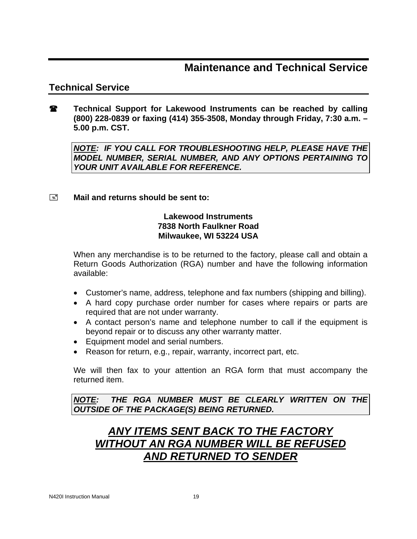### **Maintenance and Technical Service**

#### **Technical Service**

**Technical Support for Lakewood Instruments can be reached by calling (800) 228-0839 or faxing (414) 355-3508, Monday through Friday, 7:30 a.m. – 5.00 p.m. CST.** 

*NOTE: IF YOU CALL FOR TROUBLESHOOTING HELP, PLEASE HAVE THE MODEL NUMBER, SERIAL NUMBER, AND ANY OPTIONS PERTAINING TO YOUR UNIT AVAILABLE FOR REFERENCE.* 

#### **Mail and returns should be sent to:**

#### **Lakewood Instruments 7838 North Faulkner Road Milwaukee, WI 53224 USA**

When any merchandise is to be returned to the factory, please call and obtain a Return Goods Authorization (RGA) number and have the following information available:

- Customer's name, address, telephone and fax numbers (shipping and billing).
- A hard copy purchase order number for cases where repairs or parts are required that are not under warranty.
- A contact person's name and telephone number to call if the equipment is beyond repair or to discuss any other warranty matter.
- Equipment model and serial numbers.
- Reason for return, e.g., repair, warranty, incorrect part, etc.

We will then fax to your attention an RGA form that must accompany the returned item.

*NOTE: THE RGA NUMBER MUST BE CLEARLY WRITTEN ON THE OUTSIDE OF THE PACKAGE(S) BEING RETURNED.* 

## *ANY ITEMS SENT BACK TO THE FACTORY WITHOUT AN RGA NUMBER WILL BE REFUSED AND RETURNED TO SENDER*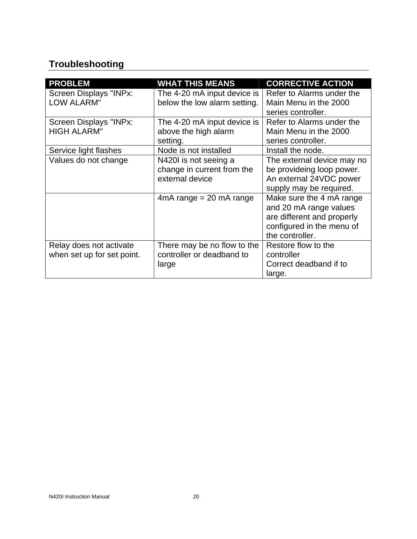## **Troubleshooting**

| <b>PROBLEM</b>             | <b>WHAT THIS MEANS</b>                                                                                                                                                                                                                                                                                 | <b>CORRECTIVE ACTION</b>                                                                                                                                                                                                                                                                                                          |  |  |  |
|----------------------------|--------------------------------------------------------------------------------------------------------------------------------------------------------------------------------------------------------------------------------------------------------------------------------------------------------|-----------------------------------------------------------------------------------------------------------------------------------------------------------------------------------------------------------------------------------------------------------------------------------------------------------------------------------|--|--|--|
| Screen Displays "INPx:     | The 4-20 mA input device is                                                                                                                                                                                                                                                                            | Refer to Alarms under the                                                                                                                                                                                                                                                                                                         |  |  |  |
| <b>LOW ALARM"</b>          | below the low alarm setting.                                                                                                                                                                                                                                                                           | Main Menu in the 2000                                                                                                                                                                                                                                                                                                             |  |  |  |
|                            |                                                                                                                                                                                                                                                                                                        |                                                                                                                                                                                                                                                                                                                                   |  |  |  |
|                            |                                                                                                                                                                                                                                                                                                        |                                                                                                                                                                                                                                                                                                                                   |  |  |  |
| <b>HIGH ALARM"</b>         |                                                                                                                                                                                                                                                                                                        |                                                                                                                                                                                                                                                                                                                                   |  |  |  |
|                            |                                                                                                                                                                                                                                                                                                        |                                                                                                                                                                                                                                                                                                                                   |  |  |  |
| Service light flashes      |                                                                                                                                                                                                                                                                                                        | Install the node.                                                                                                                                                                                                                                                                                                                 |  |  |  |
|                            |                                                                                                                                                                                                                                                                                                        |                                                                                                                                                                                                                                                                                                                                   |  |  |  |
|                            |                                                                                                                                                                                                                                                                                                        |                                                                                                                                                                                                                                                                                                                                   |  |  |  |
|                            | external device                                                                                                                                                                                                                                                                                        |                                                                                                                                                                                                                                                                                                                                   |  |  |  |
|                            | Screen Displays "INPx:<br>The 4-20 mA input device is<br>above the high alarm<br>series controller.<br>setting.<br>Node is not installed<br>Values do not change<br>N420I is not seeing a<br>change in current from the<br>$4mA$ range = 20 mA range<br>the controller.<br>There may be no flow to the |                                                                                                                                                                                                                                                                                                                                   |  |  |  |
|                            |                                                                                                                                                                                                                                                                                                        | series controller.<br>Refer to Alarms under the<br>Main Menu in the 2000<br>The external device may no<br>be provideing loop power.<br>An external 24VDC power<br>supply may be required.<br>Make sure the 4 mA range<br>and 20 mA range values<br>are different and properly<br>configured in the menu of<br>Restore flow to the |  |  |  |
|                            | controller or deadband to<br>controller                                                                                                                                                                                                                                                                |                                                                                                                                                                                                                                                                                                                                   |  |  |  |
|                            |                                                                                                                                                                                                                                                                                                        |                                                                                                                                                                                                                                                                                                                                   |  |  |  |
|                            |                                                                                                                                                                                                                                                                                                        |                                                                                                                                                                                                                                                                                                                                   |  |  |  |
|                            |                                                                                                                                                                                                                                                                                                        |                                                                                                                                                                                                                                                                                                                                   |  |  |  |
| Relay does not activate    |                                                                                                                                                                                                                                                                                                        |                                                                                                                                                                                                                                                                                                                                   |  |  |  |
| when set up for set point. |                                                                                                                                                                                                                                                                                                        |                                                                                                                                                                                                                                                                                                                                   |  |  |  |
|                            | large                                                                                                                                                                                                                                                                                                  | Correct deadband if to                                                                                                                                                                                                                                                                                                            |  |  |  |
|                            |                                                                                                                                                                                                                                                                                                        | large.                                                                                                                                                                                                                                                                                                                            |  |  |  |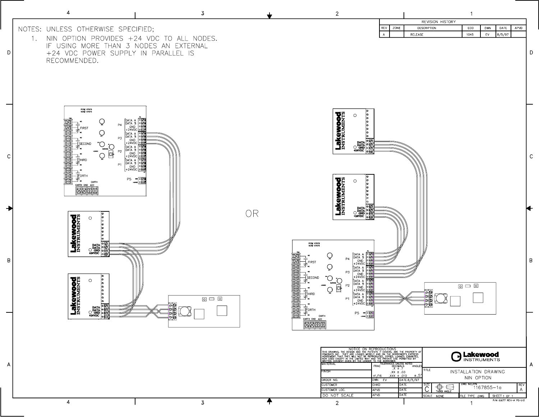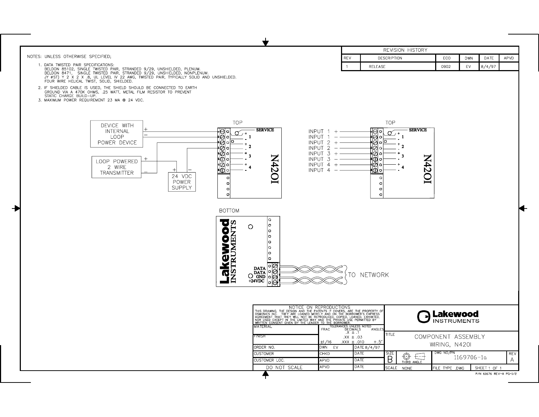|                                                                                                                                                                                                                                      |                                                                                                                                                                                                                                      |                                                                                       |                               | <b>REVISION HISTORY</b> |                    |            |        |      |
|--------------------------------------------------------------------------------------------------------------------------------------------------------------------------------------------------------------------------------------|--------------------------------------------------------------------------------------------------------------------------------------------------------------------------------------------------------------------------------------|---------------------------------------------------------------------------------------|-------------------------------|-------------------------|--------------------|------------|--------|------|
| NOTES: UNLESS OTHERWISE SPECIFIED;                                                                                                                                                                                                   |                                                                                                                                                                                                                                      | REV                                                                                   | <b>DESCRIPTION</b>            |                         | ECO                | <b>DWN</b> | DATE   | APVD |
| 1. DATA TWISTED PAIR SPECIFICATIONS:                                                                                                                                                                                                 |                                                                                                                                                                                                                                      | $\overline{1}$                                                                        | <b>RELEASE</b>                |                         | 0902               | EV         | 8/4/97 |      |
| BELDON 85102, SINGLE TWISTED PAIR, STRANDED 9/29, UNSHIELDED, PLENUM.<br>BELDON 8471, SINGLE TWISTED PAIR, STRANDED 9/29, UNSHIELDED, NONPLENUM.<br>JY ØST) Y 2 X 2 X .8, UL LEVEL IV 22 AWG, TWISTED PAIR, TYPICALLY SOLID AND UNSH |                                                                                                                                                                                                                                      |                                                                                       |                               |                         |                    |            |        |      |
| FOUR WIRE HELICAL TWIST, SOLID, SHIELDED.<br>2. IF SHIELDED CABLE IS USED, THE SHIELD SHOULD BE CONNECTED TO EARTH                                                                                                                   |                                                                                                                                                                                                                                      |                                                                                       |                               |                         |                    |            |        |      |
| GROUND VIA A 470K OHMS, .25 WATT, METAL FILM RESISTOR TO PREVENT<br>STATIC CHARGE BUILD-UP.                                                                                                                                          |                                                                                                                                                                                                                                      |                                                                                       |                               |                         |                    |            |        |      |
| 3. MAXIMUM POWER REQUIREMENT 23 MA @ 24 VDC.                                                                                                                                                                                         |                                                                                                                                                                                                                                      |                                                                                       |                               |                         |                    |            |        |      |
|                                                                                                                                                                                                                                      |                                                                                                                                                                                                                                      |                                                                                       |                               |                         |                    |            |        |      |
|                                                                                                                                                                                                                                      | <b>TOP</b>                                                                                                                                                                                                                           |                                                                                       | <b>TOP</b>                    |                         |                    |            |        |      |
| DEVICE WITH<br><b>INTERNAL</b><br>∘ا⊖                                                                                                                                                                                                | <b>SERVICE</b><br>$\sigma$                                                                                                                                                                                                           | INPUT $1 +$                                                                           | ⊦ ⊖ ∘ <br>σ                   | <b>SERVICE</b>          |                    |            |        |      |
| LOOP<br>•∣⊜∣∘                                                                                                                                                                                                                        | $7 +$                                                                                                                                                                                                                                | INPUT 1                                                                               | $, +$<br>⊮⊜lol                |                         |                    |            |        |      |
| ∣⊚ঁ ু⊡<br>POWER DEVICE<br>⊘∣o                                                                                                                                                                                                        | 2                                                                                                                                                                                                                                    | INPUT $2 +$<br><b>INPUT</b><br>-2<br>$\sim$                                           | טס (⊘י<br>√⊘∣o                |                         |                    |            |        |      |
| ॏॖ <del>ॖ</del>                                                                                                                                                                                                                      | -3                                                                                                                                                                                                                                   | INPUT $3 +$<br>INPUT 3<br>$\sim$                                                      | ∙∣⊘∣०<br>O∣⊙                  | 3                       |                    |            |        |      |
| LOOP POWERED<br>2 WIRE                                                                                                                                                                                                               |                                                                                                                                                                                                                                      | INPUT $4 +$                                                                           | ∘ا@ا∗                         |                         |                    |            |        |      |
| ┿<br><b>TRANSMITTER</b><br>24 VDC<br>$\circ$                                                                                                                                                                                         | IOZ <sub>b</sub> N                                                                                                                                                                                                                   | INPUT 4<br>$\overline{\phantom{a}}$                                                   | ∙l©l∘<br>$\circ$              | IOZ+N                   |                    |            |        |      |
| POWER<br>$\circ$                                                                                                                                                                                                                     |                                                                                                                                                                                                                                      |                                                                                       | $\circ$                       |                         |                    |            |        |      |
| <b>SUPPLY</b><br>$\circ$<br>$\circ$                                                                                                                                                                                                  |                                                                                                                                                                                                                                      |                                                                                       | $\circ$<br>$\circ$            |                         |                    |            |        |      |
|                                                                                                                                                                                                                                      |                                                                                                                                                                                                                                      |                                                                                       |                               |                         |                    |            |        |      |
| <b>BOTTOM</b>                                                                                                                                                                                                                        |                                                                                                                                                                                                                                      |                                                                                       |                               |                         |                    |            |        |      |
|                                                                                                                                                                                                                                      | lo.                                                                                                                                                                                                                                  |                                                                                       |                               |                         |                    |            |        |      |
|                                                                                                                                                                                                                                      | lo<br>$\circ$<br>lo.                                                                                                                                                                                                                 |                                                                                       |                               |                         |                    |            |        |      |
|                                                                                                                                                                                                                                      | lо                                                                                                                                                                                                                                   |                                                                                       |                               |                         |                    |            |        |      |
|                                                                                                                                                                                                                                      | o<br>lo.                                                                                                                                                                                                                             |                                                                                       |                               |                         |                    |            |        |      |
| <b>Lakewood</b>                                                                                                                                                                                                                      | lo.                                                                                                                                                                                                                                  |                                                                                       |                               |                         |                    |            |        |      |
|                                                                                                                                                                                                                                      | lo.<br>∣∘∣⊘                                                                                                                                                                                                                          |                                                                                       |                               |                         |                    |            |        |      |
|                                                                                                                                                                                                                                      | <b>DATA</b><br>$\left[\begin{array}{c c}\n\texttt{DATA} & \circ & \circ \\ \texttt{OND} & \circ & \circ \\ \hline\n\texttt{AND} & \circ & \circ\n\end{array}\right]$                                                                 |                                                                                       | TO NETWORK                    |                         |                    |            |        |      |
|                                                                                                                                                                                                                                      | $+24$ VDC<br>∣∘∣⊖                                                                                                                                                                                                                    |                                                                                       |                               |                         |                    |            |        |      |
|                                                                                                                                                                                                                                      |                                                                                                                                                                                                                                      |                                                                                       |                               |                         |                    |            |        |      |
|                                                                                                                                                                                                                                      |                                                                                                                                                                                                                                      |                                                                                       |                               |                         |                    |            |        |      |
|                                                                                                                                                                                                                                      |                                                                                                                                                                                                                                      |                                                                                       |                               |                         |                    |            |        |      |
|                                                                                                                                                                                                                                      | THIS DRAWING, THE DESIGN ARE PRODUCTIONS<br>OSMONICS INC. THEY ARE LOANED MERELY AND ON THE BROPERTY OF OSMONICS INC. THEY ARE LOANED MERELY AND ON THE BORROWER'S EXPRESS<br>AGREEMENT THAT THEY WILL NOT BE REPRODUCED. COPIED, LO |                                                                                       |                               | $\rightarrow$           | <b>Lakewood</b>    |            |        |      |
|                                                                                                                                                                                                                                      | MATERIAL                                                                                                                                                                                                                             |                                                                                       |                               |                         | <b>INSTRUMENTS</b> |            |        |      |
|                                                                                                                                                                                                                                      | FINISH                                                                                                                                                                                                                               | TOLERANCES UNLESS NOTED<br>C DECIMALS<br>X ± .1<br>FRAC <sup>1</sup><br>$.XX \pm .03$ | <b>ANGLES</b><br><b>TITLE</b> |                         | COMPONENT ASSEMBLY |            |        |      |
|                                                                                                                                                                                                                                      |                                                                                                                                                                                                                                      | ±1/16<br>$XXX \pm .010$                                                               | $\pm .5$                      |                         | WIRING, N420I      |            |        |      |
|                                                                                                                                                                                                                                      | ORDER NO.<br><b>CUSTOMER</b>                                                                                                                                                                                                         | <b>DWN</b><br>EV<br>CHKD                                                              | DATE 8/4/97<br>DATE<br>SIZE   |                         | DWG NO/PN          |            |        | REV  |
|                                                                                                                                                                                                                                      | CUSTOMER LOC.                                                                                                                                                                                                                        | <b>APVD</b>                                                                           | Β<br>DATE                     | $\n \leftarrow七二$       |                    | 1169706-1a |        | A    |
|                                                                                                                                                                                                                                      | DO NOT SCALE                                                                                                                                                                                                                         | <b>APVD</b>                                                                           | DATE                          |                         |                    |            |        |      |

 $\overline{\phantom{a}}$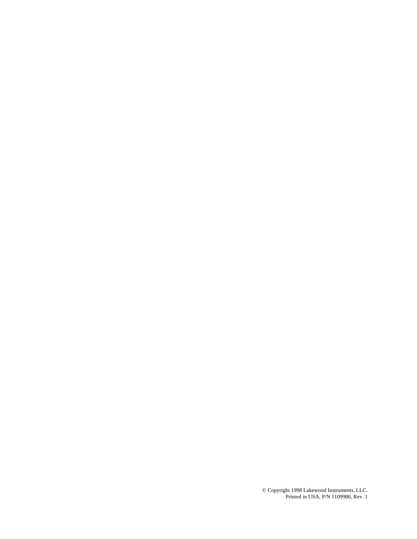© Copyright 1998 Lakewood Instruments, LLC. Printed in USA, P/N 1109980, Rev. 1